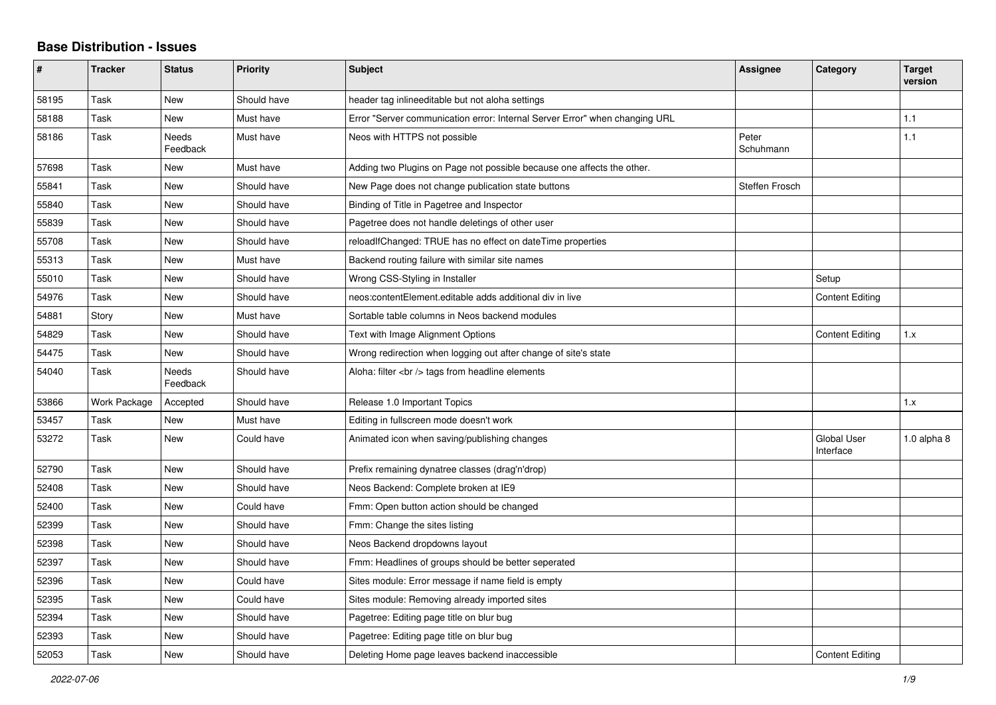## **Base Distribution - Issues**

| #     | <b>Tracker</b> | <b>Status</b>            | <b>Priority</b> | <b>Subject</b>                                                              | Assignee           | Category                        | <b>Target</b><br>version |
|-------|----------------|--------------------------|-----------------|-----------------------------------------------------------------------------|--------------------|---------------------------------|--------------------------|
| 58195 | Task           | <b>New</b>               | Should have     | header tag inlineeditable but not aloha settings                            |                    |                                 |                          |
| 58188 | Task           | <b>New</b>               | Must have       | Error "Server communication error: Internal Server Error" when changing URL |                    |                                 | 1.1                      |
| 58186 | Task           | <b>Needs</b><br>Feedback | Must have       | Neos with HTTPS not possible                                                | Peter<br>Schuhmann |                                 | 1.1                      |
| 57698 | Task           | <b>New</b>               | Must have       | Adding two Plugins on Page not possible because one affects the other.      |                    |                                 |                          |
| 55841 | Task           | <b>New</b>               | Should have     | New Page does not change publication state buttons                          | Steffen Frosch     |                                 |                          |
| 55840 | Task           | <b>New</b>               | Should have     | Binding of Title in Pagetree and Inspector                                  |                    |                                 |                          |
| 55839 | Task           | New                      | Should have     | Pagetree does not handle deletings of other user                            |                    |                                 |                          |
| 55708 | Task           | <b>New</b>               | Should have     | reloadIfChanged: TRUE has no effect on dateTime properties                  |                    |                                 |                          |
| 55313 | Task           | <b>New</b>               | Must have       | Backend routing failure with similar site names                             |                    |                                 |                          |
| 55010 | Task           | <b>New</b>               | Should have     | Wrong CSS-Styling in Installer                                              |                    | Setup                           |                          |
| 54976 | Task           | <b>New</b>               | Should have     | neos: content Element. editable adds additional div in live                 |                    | <b>Content Editing</b>          |                          |
| 54881 | Story          | <b>New</b>               | Must have       | Sortable table columns in Neos backend modules                              |                    |                                 |                          |
| 54829 | Task           | <b>New</b>               | Should have     | Text with Image Alignment Options                                           |                    | <b>Content Editing</b>          | 1.x                      |
| 54475 | Task           | New                      | Should have     | Wrong redirection when logging out after change of site's state             |                    |                                 |                          |
| 54040 | Task           | <b>Needs</b><br>Feedback | Should have     | Aloha: filter<br>tags from headline elements                                |                    |                                 |                          |
| 53866 | Work Package   | Accepted                 | Should have     | Release 1.0 Important Topics                                                |                    |                                 | 1.x                      |
| 53457 | Task           | <b>New</b>               | Must have       | Editing in fullscreen mode doesn't work                                     |                    |                                 |                          |
| 53272 | Task           | <b>New</b>               | Could have      | Animated icon when saving/publishing changes                                |                    | <b>Global User</b><br>Interface | $1.0$ alpha $8$          |
| 52790 | Task           | <b>New</b>               | Should have     | Prefix remaining dynatree classes (drag'n'drop)                             |                    |                                 |                          |
| 52408 | Task           | New                      | Should have     | Neos Backend: Complete broken at IE9                                        |                    |                                 |                          |
| 52400 | Task           | New                      | Could have      | Fmm: Open button action should be changed                                   |                    |                                 |                          |
| 52399 | Task           | <b>New</b>               | Should have     | Fmm: Change the sites listing                                               |                    |                                 |                          |
| 52398 | Task           | <b>New</b>               | Should have     | Neos Backend dropdowns layout                                               |                    |                                 |                          |
| 52397 | Task           | <b>New</b>               | Should have     | Fmm: Headlines of groups should be better seperated                         |                    |                                 |                          |
| 52396 | Task           | <b>New</b>               | Could have      | Sites module: Error message if name field is empty                          |                    |                                 |                          |
| 52395 | Task           | <b>New</b>               | Could have      | Sites module: Removing already imported sites                               |                    |                                 |                          |
| 52394 | Task           | New                      | Should have     | Pagetree: Editing page title on blur bug                                    |                    |                                 |                          |
| 52393 | Task           | <b>New</b>               | Should have     | Pagetree: Editing page title on blur bug                                    |                    |                                 |                          |
| 52053 | Task           | <b>New</b>               | Should have     | Deleting Home page leaves backend inaccessible                              |                    | <b>Content Editing</b>          |                          |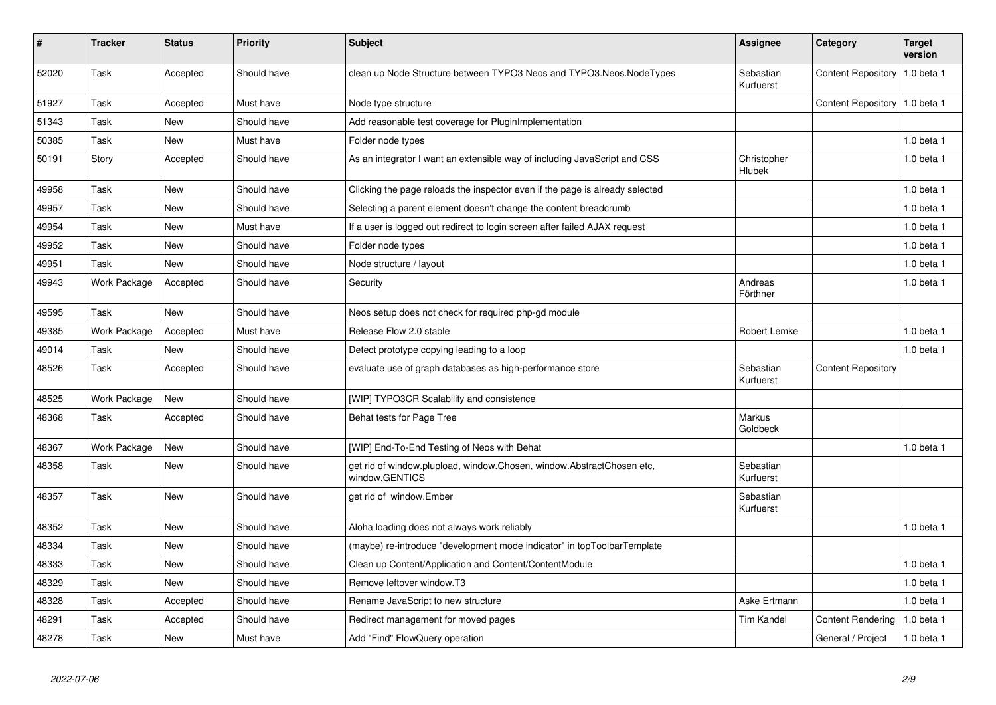| $\vert$ # | <b>Tracker</b> | <b>Status</b> | <b>Priority</b> | <b>Subject</b>                                                                          | Assignee                     | Category                        | <b>Target</b><br>version |
|-----------|----------------|---------------|-----------------|-----------------------------------------------------------------------------------------|------------------------------|---------------------------------|--------------------------|
| 52020     | Task           | Accepted      | Should have     | clean up Node Structure between TYPO3 Neos and TYPO3.Neos.NodeTypes                     | Sebastian<br>Kurfuerst       | <b>Content Repository</b>       | 1.0 beta 1               |
| 51927     | Task           | Accepted      | Must have       | Node type structure                                                                     |                              | Content Repository   1.0 beta 1 |                          |
| 51343     | Task           | <b>New</b>    | Should have     | Add reasonable test coverage for PluginImplementation                                   |                              |                                 |                          |
| 50385     | Task           | New           | Must have       | Folder node types                                                                       |                              |                                 | $1.0$ beta $1$           |
| 50191     | Story          | Accepted      | Should have     | As an integrator I want an extensible way of including JavaScript and CSS               | Christopher<br><b>Hlubek</b> |                                 | 1.0 beta 1               |
| 49958     | Task           | New           | Should have     | Clicking the page reloads the inspector even if the page is already selected            |                              |                                 | $1.0$ beta $1$           |
| 49957     | Task           | <b>New</b>    | Should have     | Selecting a parent element doesn't change the content breadcrumb                        |                              |                                 | 1.0 beta 1               |
| 49954     | Task           | <b>New</b>    | Must have       | If a user is logged out redirect to login screen after failed AJAX request              |                              |                                 | $1.0$ beta $1$           |
| 49952     | Task           | <b>New</b>    | Should have     | Folder node types                                                                       |                              |                                 | $1.0$ beta $1$           |
| 49951     | Task           | New           | Should have     | Node structure / layout                                                                 |                              |                                 | 1.0 beta 1               |
| 49943     | Work Package   | Accepted      | Should have     | Security                                                                                | Andreas<br>Förthner          |                                 | $1.0$ beta $1$           |
| 49595     | Task           | New           | Should have     | Neos setup does not check for required php-gd module                                    |                              |                                 |                          |
| 49385     | Work Package   | Accepted      | Must have       | Release Flow 2.0 stable                                                                 | Robert Lemke                 |                                 | $1.0$ beta $1$           |
| 49014     | Task           | <b>New</b>    | Should have     | Detect prototype copying leading to a loop                                              |                              |                                 | 1.0 beta 1               |
| 48526     | Task           | Accepted      | Should have     | evaluate use of graph databases as high-performance store                               | Sebastian<br>Kurfuerst       | <b>Content Repository</b>       |                          |
| 48525     | Work Package   | New           | Should have     | [WIP] TYPO3CR Scalability and consistence                                               |                              |                                 |                          |
| 48368     | Task           | Accepted      | Should have     | Behat tests for Page Tree                                                               | Markus<br>Goldbeck           |                                 |                          |
| 48367     | Work Package   | New           | Should have     | [WIP] End-To-End Testing of Neos with Behat                                             |                              |                                 | 1.0 beta 1               |
| 48358     | Task           | <b>New</b>    | Should have     | get rid of window.plupload, window.Chosen, window.AbstractChosen etc,<br>window.GENTICS | Sebastian<br>Kurfuerst       |                                 |                          |
| 48357     | Task           | <b>New</b>    | Should have     | get rid of window.Ember                                                                 | Sebastian<br>Kurfuerst       |                                 |                          |
| 48352     | Task           | <b>New</b>    | Should have     | Aloha loading does not always work reliably                                             |                              |                                 | $1.0$ beta $1$           |
| 48334     | Task           | <b>New</b>    | Should have     | (maybe) re-introduce "development mode indicator" in topToolbarTemplate                 |                              |                                 |                          |
| 48333     | Task           | <b>New</b>    | Should have     | Clean up Content/Application and Content/ContentModule                                  |                              |                                 | 1.0 beta 1               |
| 48329     | Task           | <b>New</b>    | Should have     | Remove leftover window.T3                                                               |                              |                                 | 1.0 beta 1               |
| 48328     | Task           | Accepted      | Should have     | Rename JavaScript to new structure                                                      | Aske Ertmann                 |                                 | 1.0 beta 1               |
| 48291     | Task           | Accepted      | Should have     | Redirect management for moved pages                                                     | <b>Tim Kandel</b>            | <b>Content Rendering</b>        | 1.0 beta 1               |
| 48278     | Task           | <b>New</b>    | Must have       | Add "Find" FlowQuery operation                                                          |                              | General / Project               | 1.0 beta 1               |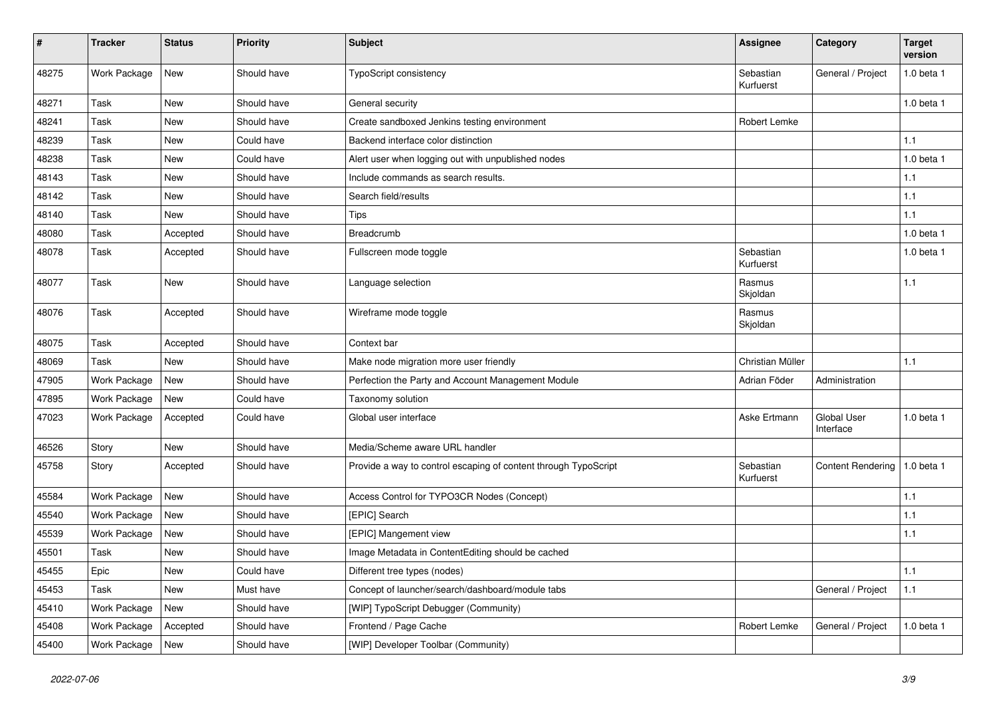| #     | <b>Tracker</b> | <b>Status</b> | <b>Priority</b> | <b>Subject</b>                                                  | <b>Assignee</b>        | Category                 | <b>Target</b><br>version |
|-------|----------------|---------------|-----------------|-----------------------------------------------------------------|------------------------|--------------------------|--------------------------|
| 48275 | Work Package   | New           | Should have     | TypoScript consistency                                          | Sebastian<br>Kurfuerst | General / Project        | 1.0 beta 1               |
| 48271 | Task           | New           | Should have     | General security                                                |                        |                          | 1.0 beta 1               |
| 48241 | Task           | New           | Should have     | Create sandboxed Jenkins testing environment                    | Robert Lemke           |                          |                          |
| 48239 | Task           | New           | Could have      | Backend interface color distinction                             |                        |                          | 1.1                      |
| 48238 | <b>Task</b>    | <b>New</b>    | Could have      | Alert user when logging out with unpublished nodes              |                        |                          | 1.0 beta 1               |
| 48143 | Task           | New           | Should have     | Include commands as search results.                             |                        |                          | $1.1$                    |
| 48142 | Task           | New           | Should have     | Search field/results                                            |                        |                          | 1.1                      |
| 48140 | Task           | New           | Should have     | Tips                                                            |                        |                          | $1.1$                    |
| 48080 | Task           | Accepted      | Should have     | Breadcrumb                                                      |                        |                          | $1.0$ beta $1$           |
| 48078 | Task           | Accepted      | Should have     | Fullscreen mode toggle                                          | Sebastian<br>Kurfuerst |                          | 1.0 beta 1               |
| 48077 | Task           | New           | Should have     | Language selection                                              | Rasmus<br>Skjoldan     |                          | 1.1                      |
| 48076 | Task           | Accepted      | Should have     | Wireframe mode toggle                                           | Rasmus<br>Skjoldan     |                          |                          |
| 48075 | <b>Task</b>    | Accepted      | Should have     | Context bar                                                     |                        |                          |                          |
| 48069 | Task           | New           | Should have     | Make node migration more user friendly                          | Christian Müller       |                          | 1.1                      |
| 47905 | Work Package   | New           | Should have     | Perfection the Party and Account Management Module              | Adrian Föder           | Administration           |                          |
| 47895 | Work Package   | New           | Could have      | Taxonomy solution                                               |                        |                          |                          |
| 47023 | Work Package   | Accepted      | Could have      | Global user interface                                           | Aske Ertmann           | Global User<br>Interface | 1.0 beta 1               |
| 46526 | Story          | New           | Should have     | Media/Scheme aware URL handler                                  |                        |                          |                          |
| 45758 | Story          | Accepted      | Should have     | Provide a way to control escaping of content through TypoScript | Sebastian<br>Kurfuerst | <b>Content Rendering</b> | 1.0 beta 1               |
| 45584 | Work Package   | New           | Should have     | Access Control for TYPO3CR Nodes (Concept)                      |                        |                          | 1.1                      |
| 45540 | Work Package   | New           | Should have     | [EPIC] Search                                                   |                        |                          | 1.1                      |
| 45539 | Work Package   | <b>New</b>    | Should have     | [EPIC] Mangement view                                           |                        |                          | 1.1                      |
| 45501 | Task           | New           | Should have     | Image Metadata in ContentEditing should be cached               |                        |                          |                          |
| 45455 | Epic           | New           | Could have      | Different tree types (nodes)                                    |                        |                          | 1.1                      |
| 45453 | Task           | New           | Must have       | Concept of launcher/search/dashboard/module tabs                |                        | General / Project        | $1.1$                    |
| 45410 | Work Package   | New           | Should have     | [WIP] TypoScript Debugger (Community)                           |                        |                          |                          |
| 45408 | Work Package   | Accepted      | Should have     | Frontend / Page Cache                                           | Robert Lemke           | General / Project        | 1.0 beta 1               |
| 45400 | Work Package   | New           | Should have     | [WIP] Developer Toolbar (Community)                             |                        |                          |                          |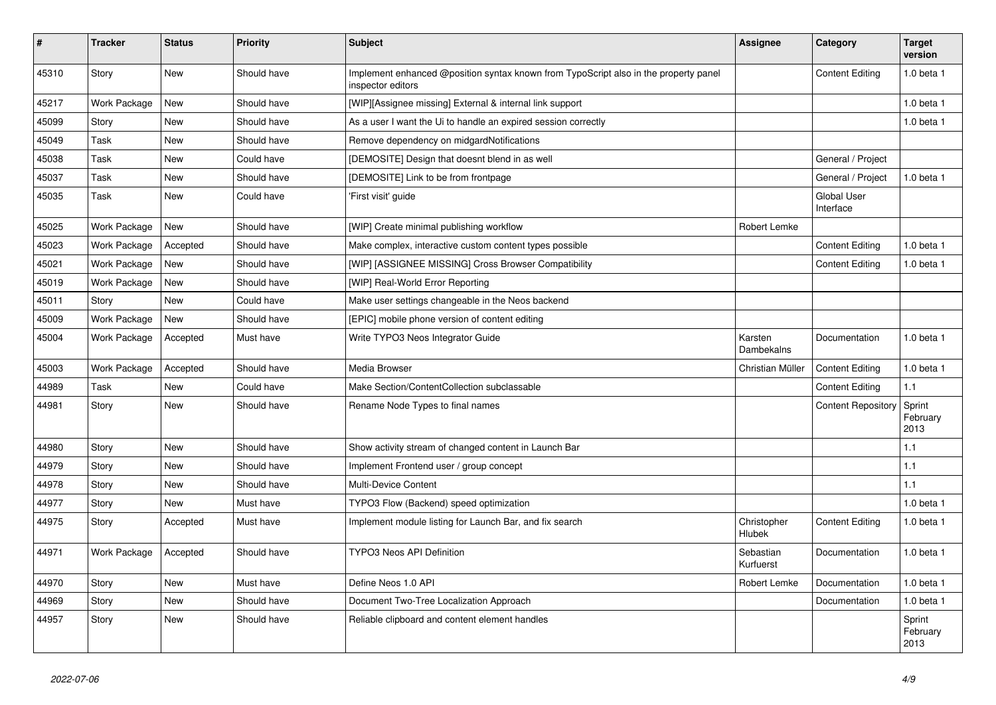| ∦     | <b>Tracker</b> | <b>Status</b> | <b>Priority</b> | <b>Subject</b>                                                                                            | <b>Assignee</b>        | Category                        | <b>Target</b><br>version   |
|-------|----------------|---------------|-----------------|-----------------------------------------------------------------------------------------------------------|------------------------|---------------------------------|----------------------------|
| 45310 | Story          | <b>New</b>    | Should have     | Implement enhanced @position syntax known from TypoScript also in the property panel<br>inspector editors |                        | <b>Content Editing</b>          | 1.0 beta 1                 |
| 45217 | Work Package   | <b>New</b>    | Should have     | [WIP][Assignee missing] External & internal link support                                                  |                        |                                 | 1.0 beta 1                 |
| 45099 | Story          | <b>New</b>    | Should have     | As a user I want the Ui to handle an expired session correctly                                            |                        |                                 | 1.0 beta 1                 |
| 45049 | Task           | New           | Should have     | Remove dependency on midgardNotifications                                                                 |                        |                                 |                            |
| 45038 | Task           | <b>New</b>    | Could have      | [DEMOSITE] Design that doesnt blend in as well                                                            |                        | General / Project               |                            |
| 45037 | Task           | New           | Should have     | [DEMOSITE] Link to be from frontpage                                                                      |                        | General / Project               | 1.0 beta 1                 |
| 45035 | Task           | New           | Could have      | 'First visit' guide                                                                                       |                        | <b>Global User</b><br>Interface |                            |
| 45025 | Work Package   | <b>New</b>    | Should have     | [WIP] Create minimal publishing workflow                                                                  | Robert Lemke           |                                 |                            |
| 45023 | Work Package   | Accepted      | Should have     | Make complex, interactive custom content types possible                                                   |                        | <b>Content Editing</b>          | 1.0 beta 1                 |
| 45021 | Work Package   | <b>New</b>    | Should have     | [WIP] [ASSIGNEE MISSING] Cross Browser Compatibility                                                      |                        | <b>Content Editing</b>          | 1.0 beta 1                 |
| 45019 | Work Package   | <b>New</b>    | Should have     | [WIP] Real-World Error Reporting                                                                          |                        |                                 |                            |
| 45011 | Story          | <b>New</b>    | Could have      | Make user settings changeable in the Neos backend                                                         |                        |                                 |                            |
| 45009 | Work Package   | New           | Should have     | [EPIC] mobile phone version of content editing                                                            |                        |                                 |                            |
| 45004 | Work Package   | Accepted      | Must have       | Write TYPO3 Neos Integrator Guide                                                                         | Karsten<br>Dambekalns  | Documentation                   | 1.0 beta 1                 |
| 45003 | Work Package   | Accepted      | Should have     | Media Browser                                                                                             | Christian Müller       | <b>Content Editing</b>          | 1.0 beta 1                 |
| 44989 | Task           | <b>New</b>    | Could have      | Make Section/ContentCollection subclassable                                                               |                        | <b>Content Editing</b>          | 1.1                        |
| 44981 | Story          | <b>New</b>    | Should have     | Rename Node Types to final names                                                                          |                        | <b>Content Repository</b>       | Sprint<br>February<br>2013 |
| 44980 | Story          | <b>New</b>    | Should have     | Show activity stream of changed content in Launch Bar                                                     |                        |                                 | 1.1                        |
| 44979 | Story          | New           | Should have     | Implement Frontend user / group concept                                                                   |                        |                                 | 1.1                        |
| 44978 | Story          | <b>New</b>    | Should have     | Multi-Device Content                                                                                      |                        |                                 | 1.1                        |
| 44977 | Story          | New           | Must have       | TYPO3 Flow (Backend) speed optimization                                                                   |                        |                                 | 1.0 beta 1                 |
| 44975 | Story          | Accepted      | Must have       | Implement module listing for Launch Bar, and fix search                                                   | Christopher<br>Hlubek  | <b>Content Editing</b>          | 1.0 beta 1                 |
| 44971 | Work Package   | Accepted      | Should have     | <b>TYPO3 Neos API Definition</b>                                                                          | Sebastian<br>Kurfuerst | Documentation                   | 1.0 beta 1                 |
| 44970 | Story          | New           | Must have       | Define Neos 1.0 API                                                                                       | Robert Lemke           | Documentation                   | $1.0$ beta $1$             |
| 44969 | Story          | New           | Should have     | Document Two-Tree Localization Approach                                                                   |                        | Documentation                   | 1.0 beta 1                 |
| 44957 | Story          | New           | Should have     | Reliable clipboard and content element handles                                                            |                        |                                 | Sprint<br>February<br>2013 |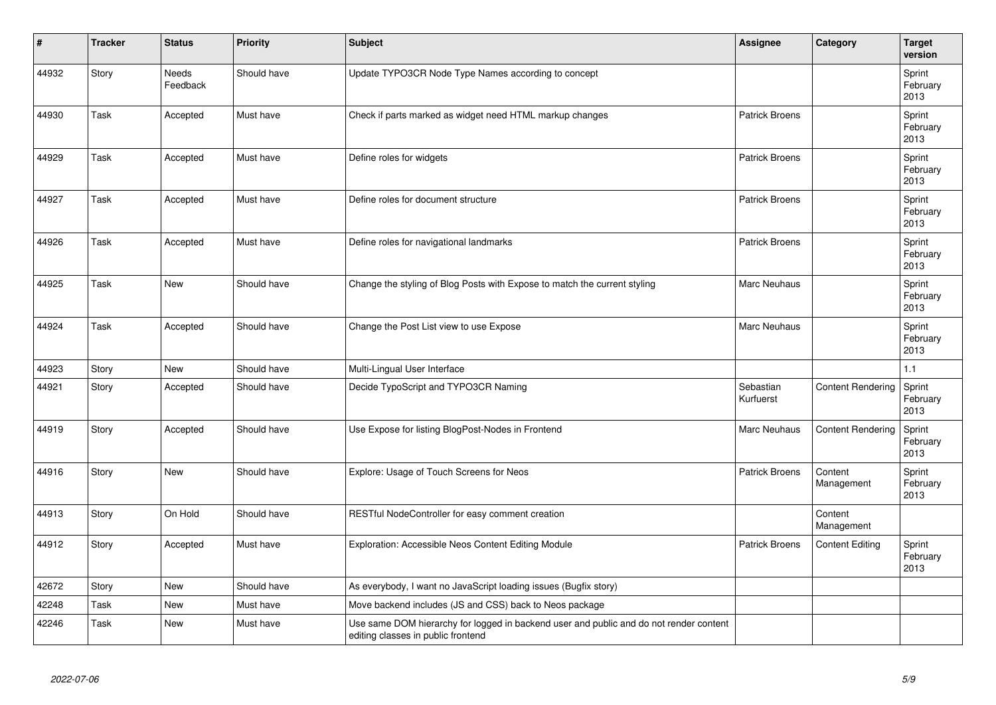| #     | <b>Tracker</b> | <b>Status</b>     | <b>Priority</b> | Subject                                                                                                                      | Assignee               | Category                 | <b>Target</b><br>version   |
|-------|----------------|-------------------|-----------------|------------------------------------------------------------------------------------------------------------------------------|------------------------|--------------------------|----------------------------|
| 44932 | Story          | Needs<br>Feedback | Should have     | Update TYPO3CR Node Type Names according to concept                                                                          |                        |                          | Sprint<br>February<br>2013 |
| 44930 | Task           | Accepted          | Must have       | Check if parts marked as widget need HTML markup changes                                                                     | <b>Patrick Broens</b>  |                          | Sprint<br>February<br>2013 |
| 44929 | Task           | Accepted          | Must have       | Define roles for widgets                                                                                                     | <b>Patrick Broens</b>  |                          | Sprint<br>February<br>2013 |
| 44927 | Task           | Accepted          | Must have       | Define roles for document structure                                                                                          | <b>Patrick Broens</b>  |                          | Sprint<br>February<br>2013 |
| 44926 | Task           | Accepted          | Must have       | Define roles for navigational landmarks                                                                                      | <b>Patrick Broens</b>  |                          | Sprint<br>February<br>2013 |
| 44925 | Task           | <b>New</b>        | Should have     | Change the styling of Blog Posts with Expose to match the current styling                                                    | <b>Marc Neuhaus</b>    |                          | Sprint<br>February<br>2013 |
| 44924 | Task           | Accepted          | Should have     | Change the Post List view to use Expose                                                                                      | <b>Marc Neuhaus</b>    |                          | Sprint<br>February<br>2013 |
| 44923 | Story          | New               | Should have     | Multi-Lingual User Interface                                                                                                 |                        |                          | 1.1                        |
| 44921 | Story          | Accepted          | Should have     | Decide TypoScript and TYPO3CR Naming                                                                                         | Sebastian<br>Kurfuerst | <b>Content Rendering</b> | Sprint<br>February<br>2013 |
| 44919 | Story          | Accepted          | Should have     | Use Expose for listing BlogPost-Nodes in Frontend                                                                            | Marc Neuhaus           | <b>Content Rendering</b> | Sprint<br>February<br>2013 |
| 44916 | Story          | <b>New</b>        | Should have     | Explore: Usage of Touch Screens for Neos                                                                                     | Patrick Broens         | Content<br>Management    | Sprint<br>February<br>2013 |
| 44913 | Story          | On Hold           | Should have     | RESTful NodeController for easy comment creation                                                                             |                        | Content<br>Management    |                            |
| 44912 | Story          | Accepted          | Must have       | Exploration: Accessible Neos Content Editing Module                                                                          | <b>Patrick Broens</b>  | <b>Content Editing</b>   | Sprint<br>February<br>2013 |
| 42672 | Story          | <b>New</b>        | Should have     | As everybody, I want no JavaScript loading issues (Bugfix story)                                                             |                        |                          |                            |
| 42248 | Task           | <b>New</b>        | Must have       | Move backend includes (JS and CSS) back to Neos package                                                                      |                        |                          |                            |
| 42246 | Task           | New               | Must have       | Use same DOM hierarchy for logged in backend user and public and do not render content<br>editing classes in public frontend |                        |                          |                            |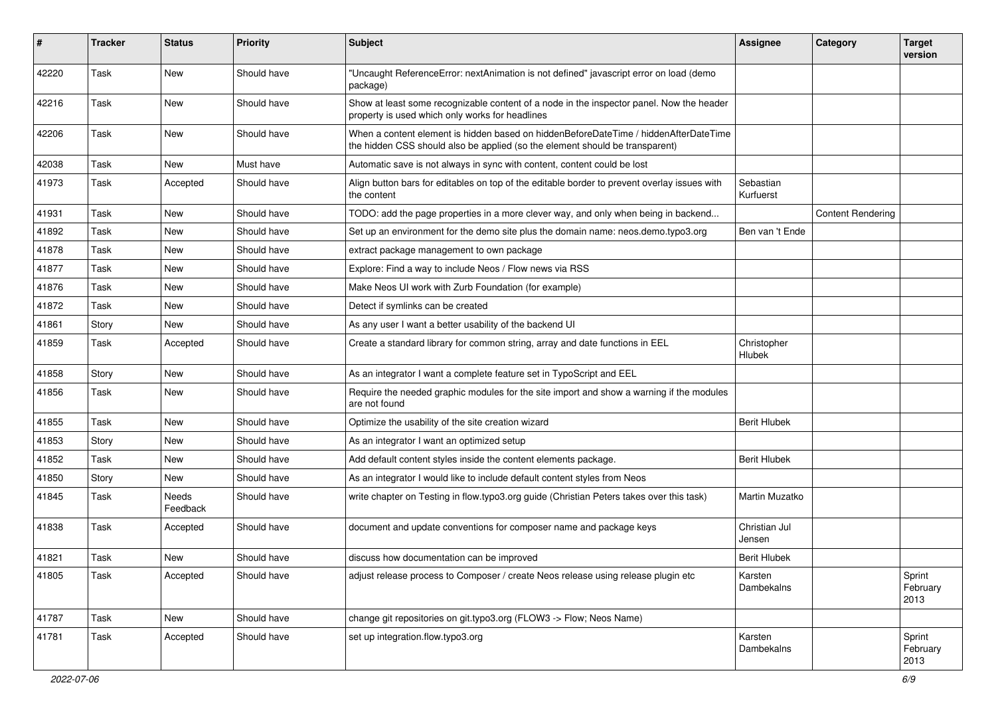| #     | <b>Tracker</b> | <b>Status</b>            | <b>Priority</b> | <b>Subject</b>                                                                                                                                                       | <b>Assignee</b>              | Category                 | <b>Target</b><br>version   |
|-------|----------------|--------------------------|-----------------|----------------------------------------------------------------------------------------------------------------------------------------------------------------------|------------------------------|--------------------------|----------------------------|
| 42220 | Task           | <b>New</b>               | Should have     | "Uncaught ReferenceError: nextAnimation is not defined" javascript error on load (demo<br>package)                                                                   |                              |                          |                            |
| 42216 | Task           | <b>New</b>               | Should have     | Show at least some recognizable content of a node in the inspector panel. Now the header<br>property is used which only works for headlines                          |                              |                          |                            |
| 42206 | Task           | New                      | Should have     | When a content element is hidden based on hiddenBeforeDateTime / hiddenAfterDateTime<br>the hidden CSS should also be applied (so the element should be transparent) |                              |                          |                            |
| 42038 | Task           | New                      | Must have       | Automatic save is not always in sync with content, content could be lost                                                                                             |                              |                          |                            |
| 41973 | Task           | Accepted                 | Should have     | Align button bars for editables on top of the editable border to prevent overlay issues with<br>the content                                                          | Sebastian<br>Kurfuerst       |                          |                            |
| 41931 | Task           | New                      | Should have     | TODO: add the page properties in a more clever way, and only when being in backend                                                                                   |                              | <b>Content Rendering</b> |                            |
| 41892 | Task           | <b>New</b>               | Should have     | Set up an environment for the demo site plus the domain name: neos.demo.typo3.org                                                                                    | Ben van 't Ende              |                          |                            |
| 41878 | Task           | <b>New</b>               | Should have     | extract package management to own package                                                                                                                            |                              |                          |                            |
| 41877 | Task           | New                      | Should have     | Explore: Find a way to include Neos / Flow news via RSS                                                                                                              |                              |                          |                            |
| 41876 | Task           | <b>New</b>               | Should have     | Make Neos UI work with Zurb Foundation (for example)                                                                                                                 |                              |                          |                            |
| 41872 | Task           | New                      | Should have     | Detect if symlinks can be created                                                                                                                                    |                              |                          |                            |
| 41861 | Story          | <b>New</b>               | Should have     | As any user I want a better usability of the backend UI                                                                                                              |                              |                          |                            |
| 41859 | Task           | Accepted                 | Should have     | Create a standard library for common string, array and date functions in EEL                                                                                         | Christopher<br><b>Hlubek</b> |                          |                            |
| 41858 | Story          | <b>New</b>               | Should have     | As an integrator I want a complete feature set in TypoScript and EEL                                                                                                 |                              |                          |                            |
| 41856 | Task           | <b>New</b>               | Should have     | Require the needed graphic modules for the site import and show a warning if the modules<br>are not found                                                            |                              |                          |                            |
| 41855 | Task           | <b>New</b>               | Should have     | Optimize the usability of the site creation wizard                                                                                                                   | <b>Berit Hlubek</b>          |                          |                            |
| 41853 | Story          | New                      | Should have     | As an integrator I want an optimized setup                                                                                                                           |                              |                          |                            |
| 41852 | Task           | <b>New</b>               | Should have     | Add default content styles inside the content elements package.                                                                                                      | <b>Berit Hlubek</b>          |                          |                            |
| 41850 | Story          | <b>New</b>               | Should have     | As an integrator I would like to include default content styles from Neos                                                                                            |                              |                          |                            |
| 41845 | Task           | <b>Needs</b><br>Feedback | Should have     | write chapter on Testing in flow.typo3.org guide (Christian Peters takes over this task)                                                                             | Martin Muzatko               |                          |                            |
| 41838 | Task           | Accepted                 | Should have     | document and update conventions for composer name and package keys                                                                                                   | Christian Jul<br>Jensen      |                          |                            |
| 41821 | Task           | <b>New</b>               | Should have     | discuss how documentation can be improved                                                                                                                            | <b>Berit Hlubek</b>          |                          |                            |
| 41805 | Task           | Accepted                 | Should have     | adjust release process to Composer / create Neos release using release plugin etc                                                                                    | Karsten<br>Dambekalns        |                          | Sprint<br>February<br>2013 |
| 41787 | Task           | New                      | Should have     | change git repositories on git.typo3.org (FLOW3 -> Flow; Neos Name)                                                                                                  |                              |                          |                            |
| 41781 | Task           | Accepted                 | Should have     | set up integration.flow.typo3.org                                                                                                                                    | Karsten<br>Dambekalns        |                          | Sprint<br>February<br>2013 |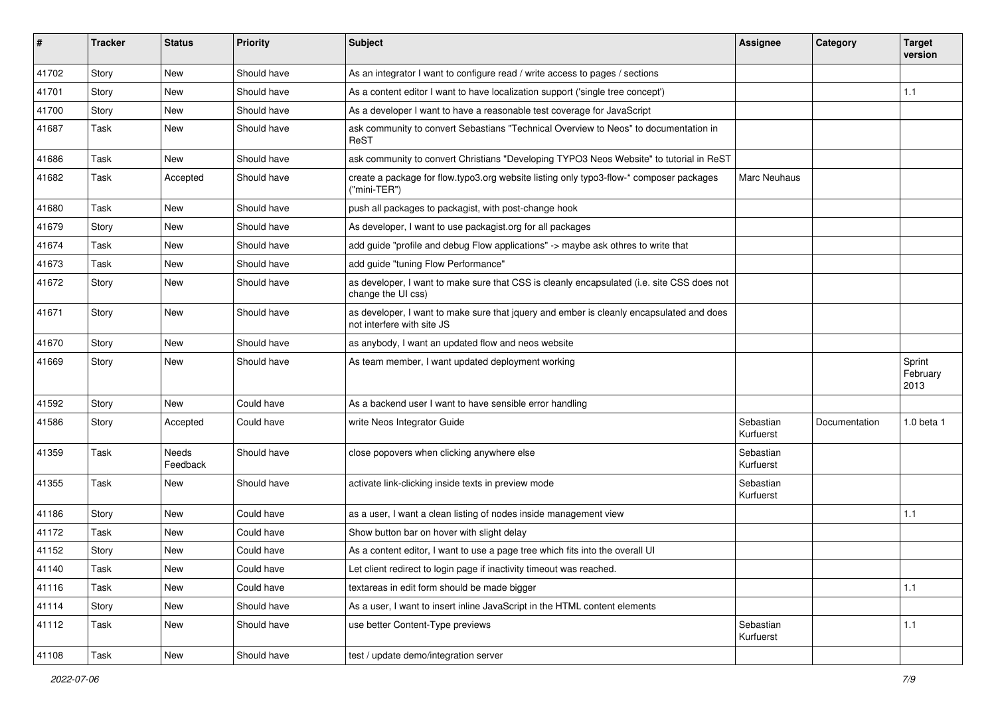| $\sharp$ | <b>Tracker</b> | <b>Status</b>            | <b>Priority</b> | Subject                                                                                                                | <b>Assignee</b>        | Category      | <b>Target</b><br>version   |
|----------|----------------|--------------------------|-----------------|------------------------------------------------------------------------------------------------------------------------|------------------------|---------------|----------------------------|
| 41702    | Story          | <b>New</b>               | Should have     | As an integrator I want to configure read / write access to pages / sections                                           |                        |               |                            |
| 41701    | Story          | New                      | Should have     | As a content editor I want to have localization support ('single tree concept')                                        |                        |               | 1.1                        |
| 41700    | Story          | <b>New</b>               | Should have     | As a developer I want to have a reasonable test coverage for JavaScript                                                |                        |               |                            |
| 41687    | Task           | New                      | Should have     | ask community to convert Sebastians "Technical Overview to Neos" to documentation in<br>ReST                           |                        |               |                            |
| 41686    | Task           | New                      | Should have     | ask community to convert Christians "Developing TYPO3 Neos Website" to tutorial in ReST                                |                        |               |                            |
| 41682    | Task           | Accepted                 | Should have     | create a package for flow typo3.org website listing only typo3-flow-* composer packages<br>("mini-TER")                | Marc Neuhaus           |               |                            |
| 41680    | Task           | New                      | Should have     | push all packages to packagist, with post-change hook                                                                  |                        |               |                            |
| 41679    | Story          | New                      | Should have     | As developer, I want to use packagist org for all packages                                                             |                        |               |                            |
| 41674    | Task           | <b>New</b>               | Should have     | add guide "profile and debug Flow applications" -> maybe ask othres to write that                                      |                        |               |                            |
| 41673    | Task           | New                      | Should have     | add guide "tuning Flow Performance"                                                                                    |                        |               |                            |
| 41672    | Story          | New                      | Should have     | as developer, I want to make sure that CSS is cleanly encapsulated (i.e. site CSS does not<br>change the UI css)       |                        |               |                            |
| 41671    | Story          | New                      | Should have     | as developer, I want to make sure that jquery and ember is cleanly encapsulated and does<br>not interfere with site JS |                        |               |                            |
| 41670    | Story          | New                      | Should have     | as anybody, I want an updated flow and neos website                                                                    |                        |               |                            |
| 41669    | Story          | New                      | Should have     | As team member, I want updated deployment working                                                                      |                        |               | Sprint<br>February<br>2013 |
| 41592    | Story          | New                      | Could have      | As a backend user I want to have sensible error handling                                                               |                        |               |                            |
| 41586    | Story          | Accepted                 | Could have      | write Neos Integrator Guide                                                                                            | Sebastian<br>Kurfuerst | Documentation | 1.0 beta 1                 |
| 41359    | Task           | <b>Needs</b><br>Feedback | Should have     | close popovers when clicking anywhere else                                                                             | Sebastian<br>Kurfuerst |               |                            |
| 41355    | Task           | New                      | Should have     | activate link-clicking inside texts in preview mode                                                                    | Sebastian<br>Kurfuerst |               |                            |
| 41186    | Story          | <b>New</b>               | Could have      | as a user, I want a clean listing of nodes inside management view                                                      |                        |               | 1.1                        |
| 41172    | Task           | New                      | Could have      | Show button bar on hover with slight delay                                                                             |                        |               |                            |
| 41152    | Story          | New                      | Could have      | As a content editor, I want to use a page tree which fits into the overall UI                                          |                        |               |                            |
| 41140    | Task           | New                      | Could have      | Let client redirect to login page if inactivity timeout was reached.                                                   |                        |               |                            |
| 41116    | Task           | New                      | Could have      | textareas in edit form should be made bigger                                                                           |                        |               | $1.1$                      |
| 41114    | Story          | New                      | Should have     | As a user, I want to insert inline JavaScript in the HTML content elements                                             |                        |               |                            |
| 41112    | Task           | New                      | Should have     | use better Content-Type previews                                                                                       | Sebastian<br>Kurfuerst |               | $1.1$                      |
| 41108    | Task           | New                      | Should have     | test / update demo/integration server                                                                                  |                        |               |                            |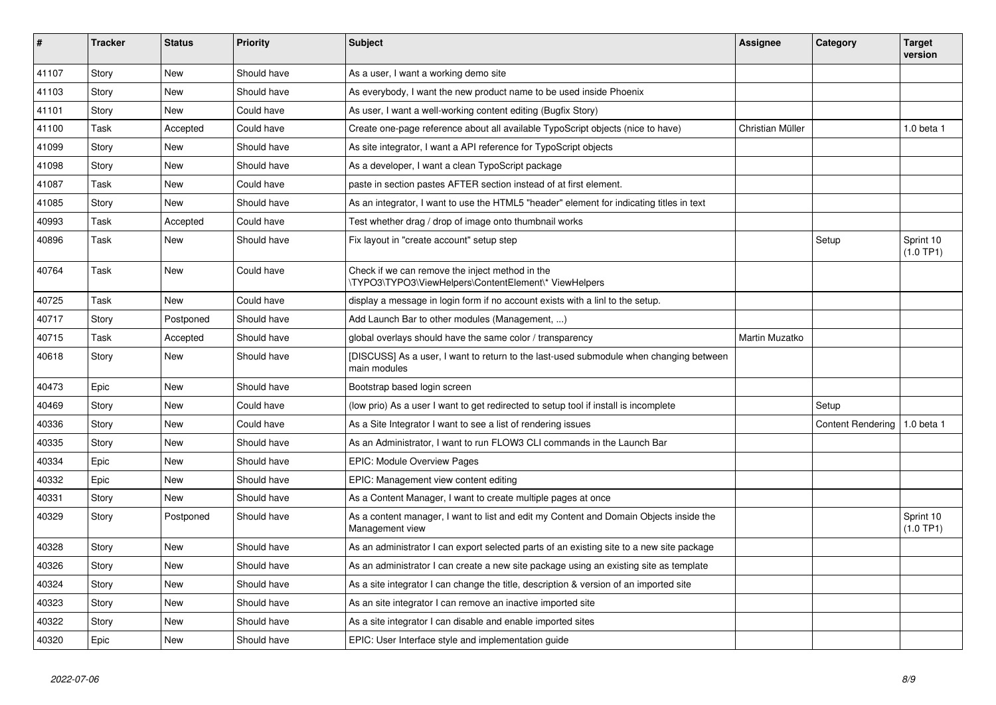| #     | <b>Tracker</b> | <b>Status</b> | <b>Priority</b> | <b>Subject</b>                                                                                            | Assignee         | Category                 | <b>Target</b><br>version |
|-------|----------------|---------------|-----------------|-----------------------------------------------------------------------------------------------------------|------------------|--------------------------|--------------------------|
| 41107 | Story          | <b>New</b>    | Should have     | As a user, I want a working demo site                                                                     |                  |                          |                          |
| 41103 | Story          | New           | Should have     | As everybody, I want the new product name to be used inside Phoenix                                       |                  |                          |                          |
| 41101 | Story          | <b>New</b>    | Could have      | As user, I want a well-working content editing (Bugfix Story)                                             |                  |                          |                          |
| 41100 | Task           | Accepted      | Could have      | Create one-page reference about all available TypoScript objects (nice to have)                           | Christian Müller |                          | 1.0 beta 1               |
| 41099 | Story          | New           | Should have     | As site integrator, I want a API reference for TypoScript objects                                         |                  |                          |                          |
| 41098 | Story          | New           | Should have     | As a developer, I want a clean TypoScript package                                                         |                  |                          |                          |
| 41087 | Task           | <b>New</b>    | Could have      | paste in section pastes AFTER section instead of at first element.                                        |                  |                          |                          |
| 41085 | Story          | <b>New</b>    | Should have     | As an integrator, I want to use the HTML5 "header" element for indicating titles in text                  |                  |                          |                          |
| 40993 | Task           | Accepted      | Could have      | Test whether drag / drop of image onto thumbnail works                                                    |                  |                          |                          |
| 40896 | Task           | New           | Should have     | Fix layout in "create account" setup step                                                                 |                  | Setup                    | Sprint 10<br>(1.0 TP1)   |
| 40764 | Task           | <b>New</b>    | Could have      | Check if we can remove the inject method in the<br>\TYPO3\TYPO3\ViewHelpers\ContentElement\* ViewHelpers  |                  |                          |                          |
| 40725 | Task           | <b>New</b>    | Could have      | display a message in login form if no account exists with a linl to the setup.                            |                  |                          |                          |
| 40717 | Story          | Postponed     | Should have     | Add Launch Bar to other modules (Management, )                                                            |                  |                          |                          |
| 40715 | Task           | Accepted      | Should have     | global overlays should have the same color / transparency                                                 | Martin Muzatko   |                          |                          |
| 40618 | Story          | New           | Should have     | [DISCUSS] As a user, I want to return to the last-used submodule when changing between<br>main modules    |                  |                          |                          |
| 40473 | Epic           | <b>New</b>    | Should have     | Bootstrap based login screen                                                                              |                  |                          |                          |
| 40469 | Story          | <b>New</b>    | Could have      | (low prio) As a user I want to get redirected to setup tool if install is incomplete                      |                  | Setup                    |                          |
| 40336 | Story          | <b>New</b>    | Could have      | As a Site Integrator I want to see a list of rendering issues                                             |                  | <b>Content Rendering</b> | 1.0 beta 1               |
| 40335 | Story          | <b>New</b>    | Should have     | As an Administrator, I want to run FLOW3 CLI commands in the Launch Bar                                   |                  |                          |                          |
| 40334 | Epic           | <b>New</b>    | Should have     | <b>EPIC: Module Overview Pages</b>                                                                        |                  |                          |                          |
| 40332 | Epic           | <b>New</b>    | Should have     | EPIC: Management view content editing                                                                     |                  |                          |                          |
| 40331 | Story          | <b>New</b>    | Should have     | As a Content Manager, I want to create multiple pages at once                                             |                  |                          |                          |
| 40329 | Story          | Postponed     | Should have     | As a content manager, I want to list and edit my Content and Domain Objects inside the<br>Management view |                  |                          | Sprint 10<br>(1.0 TP1)   |
| 40328 | Story          | <b>New</b>    | Should have     | As an administrator I can export selected parts of an existing site to a new site package                 |                  |                          |                          |
| 40326 | Story          | New           | Should have     | As an administrator I can create a new site package using an existing site as template                    |                  |                          |                          |
| 40324 | Story          | <b>New</b>    | Should have     | As a site integrator I can change the title, description & version of an imported site                    |                  |                          |                          |
| 40323 | Story          | <b>New</b>    | Should have     | As an site integrator I can remove an inactive imported site                                              |                  |                          |                          |
| 40322 | Story          | <b>New</b>    | Should have     | As a site integrator I can disable and enable imported sites                                              |                  |                          |                          |
| 40320 | Epic           | New           | Should have     | EPIC: User Interface style and implementation guide                                                       |                  |                          |                          |